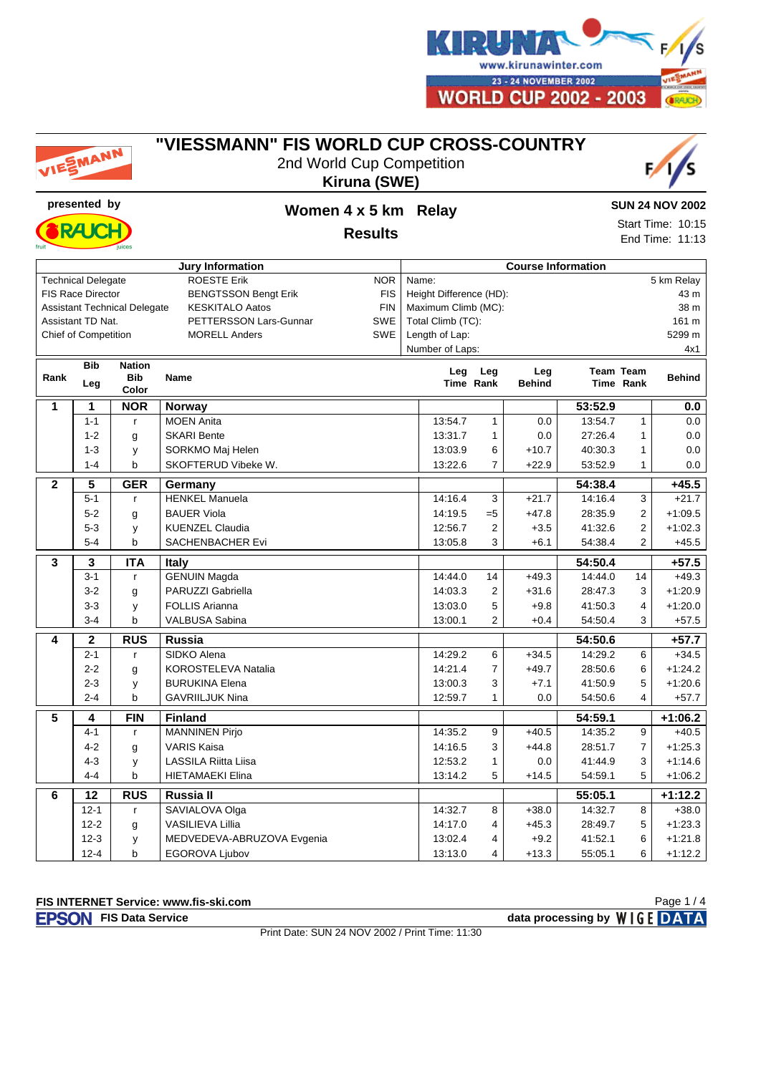

#### **"VIESSMANN" FIS WORLD CUP CROSS-COUNTRY**





**RA I** 



#### **SUN 24 NOV 2002**

Start Time: 10:15 End Time: 11:13

| <b>Jury Information</b>     |                           |                                     |                                           |                | <b>Course Information</b> |                 |               |         |                  |               |  |
|-----------------------------|---------------------------|-------------------------------------|-------------------------------------------|----------------|---------------------------|-----------------|---------------|---------|------------------|---------------|--|
|                             | <b>Technical Delegate</b> |                                     | <b>ROESTE Erik</b><br><b>NOR</b>          |                | Name:                     |                 |               |         |                  | 5 km Relay    |  |
|                             | <b>FIS Race Director</b>  |                                     | <b>BENGTSSON Bengt Erik</b><br><b>FIS</b> |                | Height Difference (HD):   |                 |               |         |                  | 43 m          |  |
|                             |                           | <b>Assistant Technical Delegate</b> | <b>KESKITALO Aatos</b><br><b>FIN</b>      |                | Maximum Climb (MC):       |                 |               |         |                  | 38 m          |  |
|                             | Assistant TD Nat.         |                                     | PETTERSSON Lars-Gunnar<br><b>SWE</b>      |                | Total Climb (TC):         |                 |               |         |                  | 161 m         |  |
| <b>Chief of Competition</b> |                           | <b>MORELL Anders</b><br><b>SWE</b>  |                                           | Length of Lap: |                           |                 |               |         | 5299 m           |               |  |
|                             |                           |                                     |                                           |                |                           | Number of Laps: |               |         |                  | 4x1           |  |
| <b>Bib</b><br><b>Nation</b> |                           |                                     |                                           |                |                           | Leg             | Leg           |         | <b>Team Team</b> |               |  |
| Rank                        | Leg                       | <b>Bib</b>                          | <b>Name</b>                               |                | Leg                       | Time Rank       | <b>Behind</b> |         | Time Rank        | <b>Behind</b> |  |
|                             |                           | Color                               |                                           |                |                           |                 |               |         |                  |               |  |
| $\mathbf{1}$                | 1                         | <b>NOR</b>                          | Norway                                    |                |                           |                 |               | 53:52.9 |                  | 0.0           |  |
|                             | $1 - 1$                   | r                                   | <b>MOEN Anita</b>                         |                | 13:54.7                   | $\mathbf{1}$    | 0.0           | 13:54.7 | $\mathbf{1}$     | 0.0           |  |
|                             | $1 - 2$                   | g                                   | <b>SKARI Bente</b>                        |                | 13:31.7                   | $\mathbf{1}$    | 0.0           | 27:26.4 | 1                | 0.0           |  |
|                             | $1 - 3$                   | y                                   | SORKMO Maj Helen                          |                | 13:03.9                   | 6               | $+10.7$       | 40:30.3 | 1                | 0.0           |  |
|                             | $1 - 4$                   | b                                   | SKOFTERUD Vibeke W.                       |                | 13:22.6                   | $\overline{7}$  | $+22.9$       | 53:52.9 | $\mathbf{1}$     | 0.0           |  |
| $\mathbf{2}$                | 5                         | <b>GER</b>                          | Germany                                   |                |                           |                 |               | 54:38.4 |                  | $+45.5$       |  |
|                             | $5 - 1$                   | $\mathbf{r}$                        | <b>HENKEL Manuela</b>                     |                | 14:16.4                   | 3               | $+21.7$       | 14:16.4 | 3                | $+21.7$       |  |
|                             | $5 - 2$                   | g                                   | <b>BAUER Viola</b>                        |                | 14:19.5                   | $= 5$           | $+47.8$       | 28:35.9 | $\overline{2}$   | $+1:09.5$     |  |
|                             | $5 - 3$                   | У                                   | <b>KUENZEL Claudia</b>                    |                | 12:56.7                   | $\overline{2}$  | $+3.5$        | 41:32.6 | $\overline{2}$   | $+1:02.3$     |  |
|                             | $5 - 4$                   | $\mathsf b$                         | SACHENBACHER Evi                          |                | 13:05.8                   | 3               | $+6.1$        | 54:38.4 | $\overline{2}$   | $+45.5$       |  |
| $\overline{\mathbf{3}}$     | 3                         | <b>ITA</b>                          | <b>Italy</b>                              |                |                           |                 |               | 54:50.4 |                  | $+57.5$       |  |
|                             | $3 - 1$                   | r                                   | <b>GENUIN Magda</b>                       |                | 14:44.0                   | 14              | $+49.3$       | 14:44.0 | 14               | $+49.3$       |  |
|                             | $3 - 2$                   | g                                   | PARUZZI Gabriella                         |                | 14:03.3                   | $\overline{2}$  | $+31.6$       | 28:47.3 | 3                | $+1:20.9$     |  |
|                             | $3 - 3$                   | у                                   | <b>FOLLIS Arianna</b>                     |                | 13:03.0                   | 5               | $+9.8$        | 41:50.3 | 4                | $+1:20.0$     |  |
|                             | $3 - 4$                   | b                                   | VALBUSA Sabina                            |                | 13:00.1                   | $\overline{2}$  | $+0.4$        | 54:50.4 | 3                | $+57.5$       |  |
| 4                           | $\mathbf 2$               | RUS                                 | <b>Russia</b>                             |                |                           |                 |               | 54:50.6 |                  | $+57.7$       |  |
|                             | $2 - 1$                   | r                                   | SIDKO Alena                               |                | 14:29.2                   | 6               | $+34.5$       | 14:29.2 | 6                | $+34.5$       |  |
|                             | $2 - 2$                   | g                                   | <b>KOROSTELEVA Natalia</b>                |                | 14:21.4                   | $\overline{7}$  | $+49.7$       | 28:50.6 | 6                | $+1:24.2$     |  |
|                             | $2 - 3$                   | у                                   | <b>BURUKINA Elena</b>                     |                | 13:00.3                   | 3               | $+7.1$        | 41:50.9 | 5                | $+1:20.6$     |  |
|                             | $2 - 4$                   | b                                   | <b>GAVRIILJUK Nina</b>                    |                | 12:59.7                   | $\mathbf{1}$    | 0.0           | 54:50.6 | 4                | $+57.7$       |  |
| 5                           | 4                         | <b>FIN</b>                          | <b>Finland</b>                            |                |                           |                 |               | 54:59.1 |                  | $+1:06.2$     |  |
|                             | $4 - 1$                   | $\mathsf{r}$                        | <b>MANNINEN Pirjo</b>                     |                | 14:35.2                   | 9               | $+40.5$       | 14:35.2 | 9                | $+40.5$       |  |
|                             | $4 - 2$                   | g                                   | <b>VARIS Kaisa</b>                        |                | 14:16.5                   | 3               | $+44.8$       | 28:51.7 | $\overline{7}$   | $+1:25.3$     |  |
|                             | $4 - 3$                   | y                                   | <b>LASSILA Riitta Liisa</b>               |                | 12:53.2                   | $\mathbf{1}$    | 0.0           | 41:44.9 | 3                | $+1:14.6$     |  |
|                             | $4 - 4$                   | $\mathsf b$                         | <b>HIETAMAEKI Elina</b>                   |                | 13:14.2                   | 5               | $+14.5$       | 54:59.1 | 5                | $+1:06.2$     |  |
| 6                           | 12                        | <b>RUS</b>                          | Russia II                                 |                |                           |                 |               | 55:05.1 |                  | $+1:12.2$     |  |
|                             | $12 - 1$                  | r                                   | SAVIALOVA Olga                            |                | 14:32.7                   | 8               | $+38.0$       | 14:32.7 | 8                | $+38.0$       |  |
|                             | $12 - 2$                  | g                                   | VASILIEVA Lillia                          |                | 14:17.0                   | 4               | $+45.3$       | 28:49.7 | 5                | $+1:23.3$     |  |
|                             | $12 - 3$                  | у                                   | MEDVEDEVA-ABRUZOVA Evgenia                |                | 13:02.4                   | 4               | $+9.2$        | 41:52.1 | 6                | $+1:21.8$     |  |
|                             | $12 - 4$                  | b                                   | EGOROVA Ljubov                            |                | 13:13.0                   | 4               | $+13.3$       | 55:05.1 | 6                | $+1:12.2$     |  |

#### **FIS INTERNET Service: www.fis-ski.com**

**FIS Data Service data processing by**  $W \mid G E$  **DATA** 

Print Date: SUN 24 NOV 2002 / Print Time: 11:30

Page 1 / 4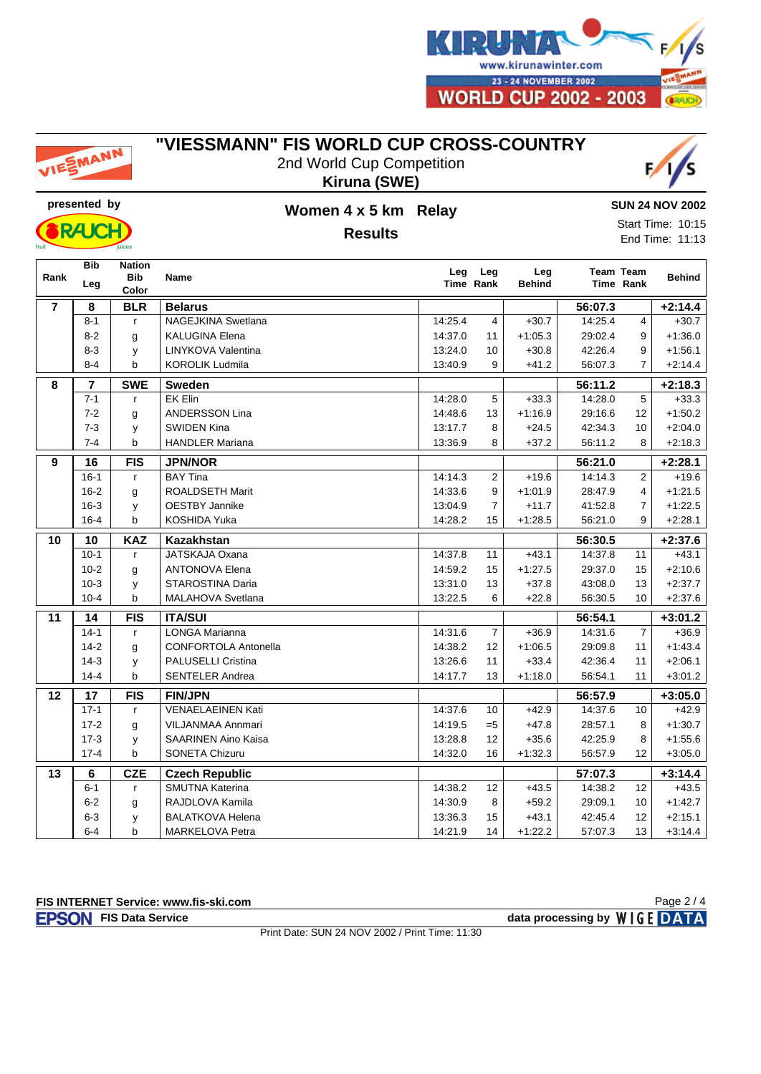

# EMANN

#### **"VIESSMANN" FIS WORLD CUP CROSS-COUNTRY**

2nd World Cup Competition **Kiruna (SWE)**





### **presented by Women 4 x 5 km Relay Results**

**SUN 24 NOV 2002**

Start Time: 10:15 End Time: 11:13

|                | <b>Bib</b> | <b>Nation</b>       |                             | Leg     | Leg            | Leg           | <b>Team Team</b> |                |               |
|----------------|------------|---------------------|-----------------------------|---------|----------------|---------------|------------------|----------------|---------------|
| Rank           | Leg        | <b>Bib</b><br>Color | <b>Name</b>                 |         | Time Rank      | <b>Behind</b> |                  | Time Rank      | <b>Behind</b> |
| $\overline{7}$ | 8          | <b>BLR</b>          | <b>Belarus</b>              |         |                |               | 56:07.3          |                | $+2:14.4$     |
|                | $8 - 1$    | $\mathsf{r}$        | <b>NAGEJKINA Swetlana</b>   | 14:25.4 | 4              | $+30.7$       | 14:25.4          | 4              | $+30.7$       |
|                | $8 - 2$    | g                   | <b>KALUGINA Elena</b>       | 14:37.0 | 11             | $+1:05.3$     | 29:02.4          | 9              | $+1:36.0$     |
|                | $8 - 3$    | y                   | LINYKOVA Valentina          | 13:24.0 | 10             | $+30.8$       | 42:26.4          | 9              | $+1.56.1$     |
|                | $8 - 4$    | b                   | <b>KOROLIK Ludmila</b>      | 13:40.9 | 9              | $+41.2$       | 56:07.3          | 7              | $+2:14.4$     |
| 8              | 7          | <b>SWE</b>          | <b>Sweden</b>               |         |                |               | 56:11.2          |                | $+2:18.3$     |
|                | $7 - 1$    | $\mathsf{r}$        | EK Elin                     | 14:28.0 | 5              | $+33.3$       | 14:28.0          | 5              | $+33.3$       |
|                | $7 - 2$    | g                   | <b>ANDERSSON Lina</b>       | 14:48.6 | 13             | $+1:16.9$     | 29:16.6          | 12             | $+1:50.2$     |
|                | $7 - 3$    | у                   | <b>SWIDEN Kina</b>          | 13:17.7 | 8              | $+24.5$       | 42:34.3          | 10             | $+2:04.0$     |
|                | $7 - 4$    | b                   | <b>HANDLER Mariana</b>      | 13:36.9 | 8              | $+37.2$       | 56:11.2          | 8              | $+2:18.3$     |
| 9              | 16         | <b>FIS</b>          | <b>JPN/NOR</b>              |         |                |               | 56:21.0          |                | $+2:28.1$     |
|                | $16-1$     | $\mathsf{r}$        | <b>BAY Tina</b>             | 14:14.3 | $\overline{2}$ | $+19.6$       | 14:14.3          | $\overline{2}$ | $+19.6$       |
|                | $16 - 2$   | g                   | <b>ROALDSETH Marit</b>      | 14:33.6 | 9              | $+1:01.9$     | 28:47.9          | 4              | $+1:21.5$     |
|                | $16 - 3$   | y                   | <b>OESTBY Jannike</b>       | 13:04.9 | $\overline{7}$ | $+11.7$       | 41:52.8          | $\overline{7}$ | $+1:22.5$     |
|                | $16 - 4$   | þ                   | KOSHIDA Yuka                | 14:28.2 | 15             | $+1:28.5$     | 56:21.0          | 9              | $+2:28.1$     |
| 10             | 10         | <b>KAZ</b>          | <b>Kazakhstan</b>           |         |                |               | 56:30.5          |                | $+2:37.6$     |
|                | $10-1$     | $\mathsf{r}$        | JATSKAJA Oxana              | 14:37.8 | 11             | $+43.1$       | 14:37.8          | 11             | $+43.1$       |
|                | $10-2$     | g                   | <b>ANTONOVA Elena</b>       | 14:59.2 | 15             | $+1:27.5$     | 29:37.0          | 15             | $+2:10.6$     |
|                | $10-3$     | у                   | STAROSTINA Daria            | 13:31.0 | 13             | $+37.8$       | 43:08.0          | 13             | $+2:37.7$     |
|                | $10 - 4$   | b                   | <b>MALAHOVA Svetlana</b>    | 13:22.5 | 6              | $+22.8$       | 56:30.5          | 10             | $+2:37.6$     |
| 11             | 14         | <b>FIS</b>          | <b>ITA/SUI</b>              |         | 56:54.1        |               |                  | $+3:01.2$      |               |
|                | $14-1$     | $\mathsf{r}$        | <b>LONGA Marianna</b>       | 14:31.6 | $\overline{7}$ | $+36.9$       | 14:31.6          | $\overline{7}$ | $+36.9$       |
|                | $14-2$     | g                   | <b>CONFORTOLA Antonella</b> | 14:38.2 | 12             | $+1:06.5$     | 29:09.8          | 11             | $+1.43.4$     |
|                | $14-3$     | у                   | <b>PALUSELLI Cristina</b>   | 13:26.6 | 11             | $+33.4$       | 42:36.4          | 11             | $+2:06.1$     |
|                | $14 - 4$   | b                   | <b>SENTELER Andrea</b>      | 14:17.7 | 13             | $+1:18.0$     | 56:54.1          | 11             | $+3:01.2$     |
| 12             | 17         | <b>FIS</b>          | <b>FIN/JPN</b>              |         |                |               | 56:57.9          |                | $+3:05.0$     |
|                | $17-1$     | $\mathsf{r}$        | <b>VENAELAEINEN Kati</b>    | 14:37.6 | 10             | $+42.9$       | 14:37.6          | 10             | $+42.9$       |
|                | $17 - 2$   | g                   | <b>VILJANMAA Annmari</b>    | 14:19.5 | $=5$           | $+47.8$       | 28:57.1          | 8              | $+1:30.7$     |
|                | $17-3$     | y                   | <b>SAARINEN Aino Kaisa</b>  | 13:28.8 | 12             | $+35.6$       | 42:25.9          | 8              | $+1:55.6$     |
|                | $17 - 4$   | b                   | <b>SONETA Chizuru</b>       | 14:32.0 | 16             | $+1:32.3$     | 56:57.9          | 12             | $+3:05.0$     |
| 13             | 6          | <b>CZE</b>          | <b>Czech Republic</b>       |         |                |               | 57:07.3          |                | $+3:14.4$     |
|                | $6 - 1$    | $\mathsf{r}$        | <b>SMUTNA Katerina</b>      | 14:38.2 | 12             | $+43.5$       | 14:38.2          | 12             | $+43.5$       |
|                | $6 - 2$    | g                   | RAJDLOVA Kamila             | 14:30.9 | 8              | $+59.2$       | 29:09.1          | 10             | $+1:42.7$     |
|                | $6 - 3$    | у                   | <b>BALATKOVA Helena</b>     | 13:36.3 | 15             | $+43.1$       | 42:45.4          | 12             | $+2:15.1$     |
|                | $6 - 4$    | b                   | MARKELOVA Petra             | 14:21.9 | 14             | $+1:22.2$     | 57:07.3          | 13             | $+3:14.4$     |

Print Date: SUN 24 NOV 2002 / Print Time: 11:30

**FIS Data Service data processing by**  $W \mid G E$  **DATA** 

Page 2 / 4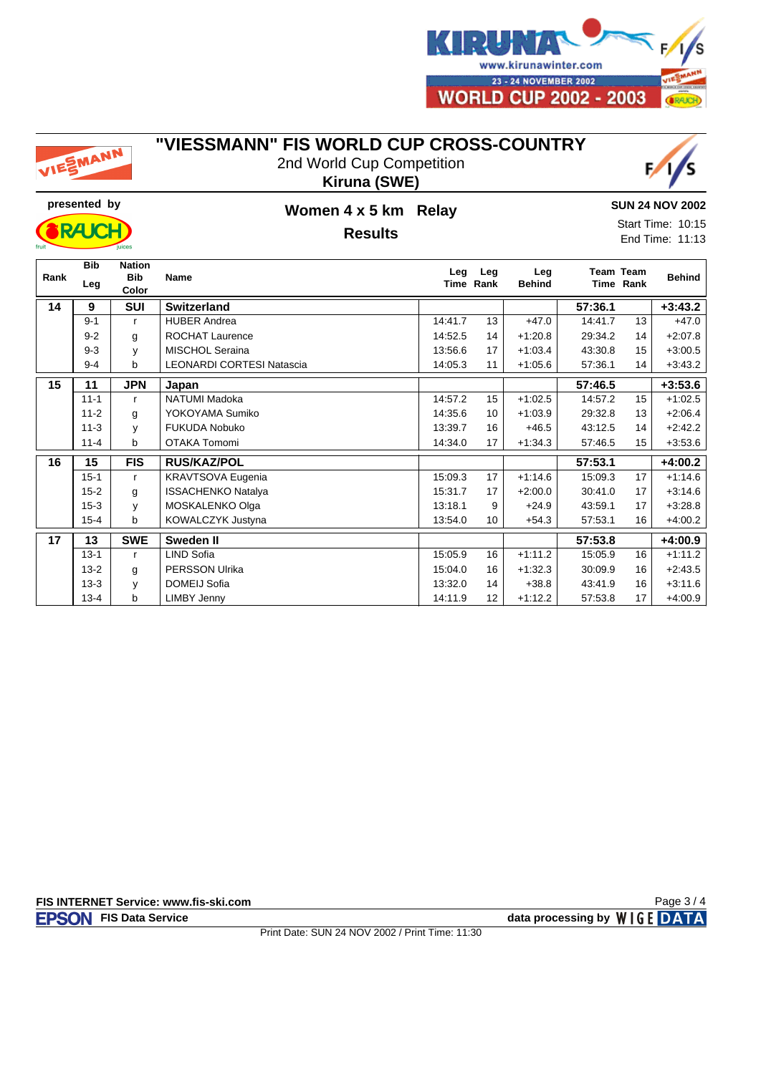

# EMANN

#### **"VIESSMANN" FIS WORLD CUP CROSS-COUNTRY**

2nd World Cup Competition **Kiruna (SWE)**





### **presented by Women 4 x 5 km Relay Results**

**SUN 24 NOV 2002**

Start Time: 10:15 End Time: 11:13

| Rank | <b>Bib</b><br>Leg | <b>Nation</b><br><b>Bib</b><br>Color | Name                             | Leg     | Leg<br>Time Rank | Leg<br><b>Behind</b> | <b>Team Team</b> | Time Rank | <b>Behind</b> |
|------|-------------------|--------------------------------------|----------------------------------|---------|------------------|----------------------|------------------|-----------|---------------|
| 14   | 9                 | SUI                                  | <b>Switzerland</b>               |         |                  |                      | 57:36.1          |           | $+3:43.2$     |
|      | $9 - 1$           | r                                    | <b>HUBER Andrea</b>              | 14:41.7 | 13               | $+47.0$              | 14:41.7          | 13        | $+47.0$       |
|      | $9 - 2$           | g                                    | <b>ROCHAT Laurence</b>           | 14:52.5 | 14               | $+1:20.8$            | 29:34.2          | 14        | $+2:07.8$     |
|      | $9 - 3$           | y                                    | <b>MISCHOL Seraina</b>           | 13:56.6 | 17               | $+1:03.4$            | 43:30.8          | 15        | $+3:00.5$     |
|      | $9 - 4$           | b                                    | <b>LEONARDI CORTESI Natascia</b> | 14:05.3 | 11               | $+1:05.6$            | 57:36.1          | 14        | $+3:43.2$     |
| 15   | 11                | <b>JPN</b>                           | Japan                            |         |                  | 57:46.5              |                  | $+3:53.6$ |               |
|      | $11 - 1$          | r.                                   | NATUMI Madoka                    | 14:57.2 | 15               | $+1:02.5$            | 14:57.2          | 15        | $+1:02.5$     |
|      | $11 - 2$          | g                                    | YOKOYAMA Sumiko                  | 14:35.6 | 10               | $+1:03.9$            | 29:32.8          | 13        | $+2:06.4$     |
|      | $11 - 3$          | y                                    | <b>FUKUDA Nobuko</b>             | 13:39.7 | 16               | $+46.5$              | 43:12.5          | 14        | $+2:42.2$     |
|      | $11 - 4$          | b                                    | OTAKA Tomomi                     | 14:34.0 | 17               | $+1:34.3$            | 57:46.5          | 15        | $+3:53.6$     |
| 16   | 15                | <b>FIS</b>                           | <b>RUS/KAZ/POL</b>               |         |                  |                      | 57:53.1          |           | $+4:00.2$     |
|      | $15 - 1$          | $\mathsf{r}$                         | <b>KRAVTSOVA Eugenia</b>         | 15:09.3 | 17               | $+1:14.6$            | 15:09.3          | 17        | $+1:14.6$     |
|      | $15 - 2$          | g                                    | <b>ISSACHENKO Natalya</b>        | 15:31.7 | 17               | $+2:00.0$            | 30:41.0          | 17        | $+3:14.6$     |
|      | $15 - 3$          | y                                    | MOSKALENKO Olga                  | 13:18.1 | 9                | $+24.9$              | 43:59.1          | 17        | $+3:28.8$     |
|      | $15 - 4$          | b                                    | <b>KOWALCZYK Justyna</b>         | 13:54.0 | 10 <sup>10</sup> | $+54.3$              | 57:53.1          | 16        | $+4:00.2$     |
| 17   | 13                | <b>SWE</b>                           | Sweden II                        |         |                  |                      | 57:53.8          |           | $+4:00.9$     |
|      | $13 - 1$          | r                                    | LIND Sofia                       | 15:05.9 | 16               | $+1:11.2$            | 15:05.9          | 16        | $+1:11.2$     |
|      | $13 - 2$          | g                                    | <b>PERSSON Ulrika</b>            | 15:04.0 | 16               | $+1:32.3$            | 30:09.9          | 16        | $+2:43.5$     |
|      | $13 - 3$          | y                                    | <b>DOMEIJ Sofia</b>              | 13:32.0 | 14               | $+38.8$              | 43:41.9          | 16        | $+3:11.6$     |
|      | $13 - 4$          | b                                    | <b>LIMBY Jenny</b>               | 14:11.9 | 12               | $+1:12.2$            | 57:53.8          | 17        | $+4:00.9$     |

**FIS INTERNET Service: www.fis-ski.com**

**FIS Data Service data processing by**  $W \mid G E$  **DATA** 

Page 3 / 4